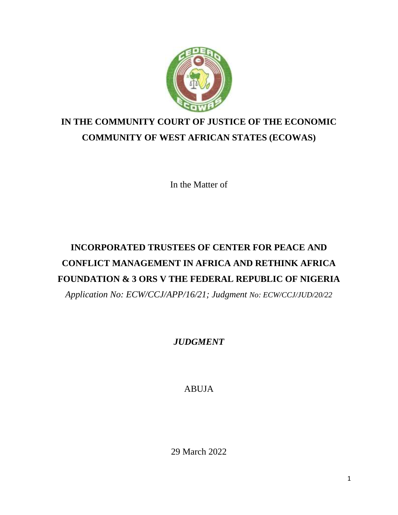

# **IN THE COMMUNITY COURT OF JUSTICE OF THE ECONOMIC COMMUNITY OF WEST AFRICAN STATES (ECOWAS)**

In the Matter of

# **INCORPORATED TRUSTEES OF CENTER FOR PEACE AND CONFLICT MANAGEMENT IN AFRICA AND RETHINK AFRICA FOUNDATION & 3 ORS V THE FEDERAL REPUBLIC OF NIGERIA**

*Application No: ECW/CCJ/APP/16/21; Judgment No: ECW/CCJ/JUD/20/22*

*JUDGMENT*

ABUJA

29 March 2022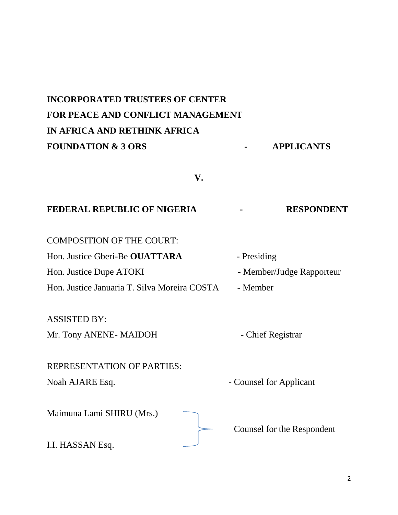# **INCORPORATED TRUSTEES OF CENTER FOR PEACE AND CONFLICT MANAGEMENT IN AFRICA AND RETHINK AFRICA**  FOUNDATION & 3 ORS **APPLICANTS**

**V.**

## **FEDERAL REPUBLIC OF NIGERIA - RESPONDENT**

COMPOSITION OF THE COURT:

Hon. Justice Gberi-Be **OUATTARA** - Presiding Hon. Justice Dupe ATOKI - Member/Judge Rapporteur Hon. Justice Januaria T. Silva Moreira COSTA - Member

ASSISTED BY:

Mr. Tony ANENE- MAIDOH - Chief Registrar

# REPRESENTATION OF PARTIES: Noah AJARE Esq.  $\blacksquare$ Maimuna Lami SHIRU (Mrs.) Counsel for the Respondent

I.I. HASSAN Esq.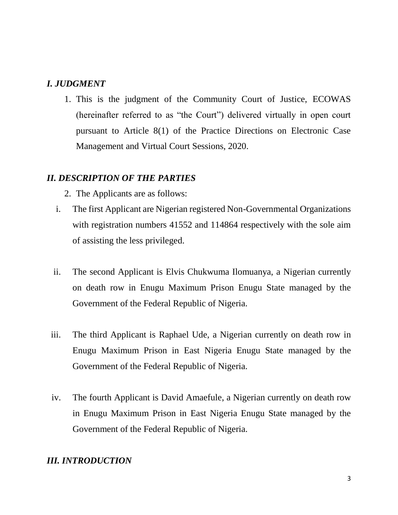# *I. JUDGMENT*

1. This is the judgment of the Community Court of Justice, ECOWAS (hereinafter referred to as "the Court") delivered virtually in open court pursuant to Article 8(1) of the Practice Directions on Electronic Case Management and Virtual Court Sessions, 2020.

# *II. DESCRIPTION OF THE PARTIES*

- 2. The Applicants are as follows:
- i. The first Applicant are Nigerian registered Non-Governmental Organizations with registration numbers 41552 and 114864 respectively with the sole aim of assisting the less privileged.
- ii. The second Applicant is Elvis Chukwuma Ilomuanya, a Nigerian currently on death row in Enugu Maximum Prison Enugu State managed by the Government of the Federal Republic of Nigeria.
- iii. The third Applicant is Raphael Ude, a Nigerian currently on death row in Enugu Maximum Prison in East Nigeria Enugu State managed by the Government of the Federal Republic of Nigeria.
- iv. The fourth Applicant is David Amaefule, a Nigerian currently on death row in Enugu Maximum Prison in East Nigeria Enugu State managed by the Government of the Federal Republic of Nigeria.

# *III. INTRODUCTION*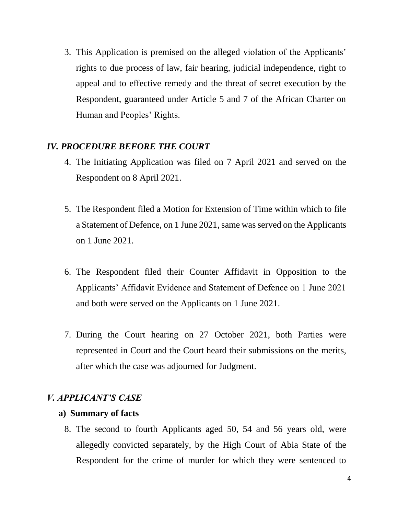3. This Application is premised on the alleged violation of the Applicants' rights to due process of law, fair hearing, judicial independence, right to appeal and to effective remedy and the threat of secret execution by the Respondent, guaranteed under Article 5 and 7 of the African Charter on Human and Peoples' Rights.

# *IV. PROCEDURE BEFORE THE COURT*

- 4. The Initiating Application was filed on 7 April 2021 and served on the Respondent on 8 April 2021.
- 5. The Respondent filed a Motion for Extension of Time within which to file a Statement of Defence, on 1 June 2021, same was served on the Applicants on 1 June 2021.
- 6. The Respondent filed their Counter Affidavit in Opposition to the Applicants' Affidavit Evidence and Statement of Defence on 1 June 2021 and both were served on the Applicants on 1 June 2021.
- 7. During the Court hearing on 27 October 2021, both Parties were represented in Court and the Court heard their submissions on the merits, after which the case was adjourned for Judgment.

# *V. APPLICANT'S CASE*

## **a) Summary of facts**

8. The second to fourth Applicants aged 50, 54 and 56 years old, were allegedly convicted separately, by the High Court of Abia State of the Respondent for the crime of murder for which they were sentenced to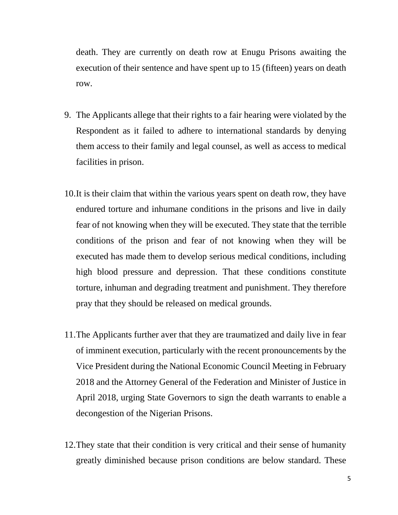death. They are currently on death row at Enugu Prisons awaiting the execution of their sentence and have spent up to 15 (fifteen) years on death row.

- 9. The Applicants allege that their rights to a fair hearing were violated by the Respondent as it failed to adhere to international standards by denying them access to their family and legal counsel, as well as access to medical facilities in prison.
- 10.It is their claim that within the various years spent on death row, they have endured torture and inhumane conditions in the prisons and live in daily fear of not knowing when they will be executed. They state that the terrible conditions of the prison and fear of not knowing when they will be executed has made them to develop serious medical conditions, including high blood pressure and depression. That these conditions constitute torture, inhuman and degrading treatment and punishment. They therefore pray that they should be released on medical grounds.
- 11.The Applicants further aver that they are traumatized and daily live in fear of imminent execution, particularly with the recent pronouncements by the Vice President during the National Economic Council Meeting in February 2018 and the Attorney General of the Federation and Minister of Justice in April 2018, urging State Governors to sign the death warrants to enable a decongestion of the Nigerian Prisons.
- 12.They state that their condition is very critical and their sense of humanity greatly diminished because prison conditions are below standard. These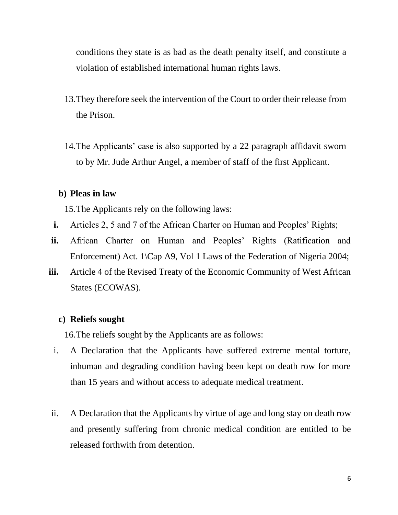conditions they state is as bad as the death penalty itself, and constitute a violation of established international human rights laws.

- 13.They therefore seek the intervention of the Court to order their release from the Prison.
- 14.The Applicants' case is also supported by a 22 paragraph affidavit sworn to by Mr. Jude Arthur Angel, a member of staff of the first Applicant.

#### **b) Pleas in law**

15.The Applicants rely on the following laws:

- **i.** Articles 2, 5 and 7 of the African Charter on Human and Peoples' Rights;
- **ii.** African Charter on Human and Peoples' Rights (Ratification and Enforcement) Act. 1\Cap A9, Vol 1 Laws of the Federation of Nigeria 2004;
- **iii.** Article 4 of the Revised Treaty of the Economic Community of West African States (ECOWAS).

#### **c) Reliefs sought**

16.The reliefs sought by the Applicants are as follows:

- i. A Declaration that the Applicants have suffered extreme mental torture, inhuman and degrading condition having been kept on death row for more than 15 years and without access to adequate medical treatment.
- ii. A Declaration that the Applicants by virtue of age and long stay on death row and presently suffering from chronic medical condition are entitled to be released forthwith from detention.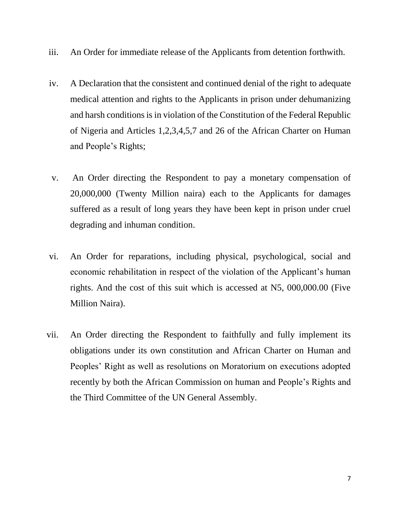- iii. An Order for immediate release of the Applicants from detention forthwith.
- iv. A Declaration that the consistent and continued denial of the right to adequate medical attention and rights to the Applicants in prison under dehumanizing and harsh conditions is in violation of the Constitution of the Federal Republic of Nigeria and Articles 1,2,3,4,5,7 and 26 of the African Charter on Human and People's Rights;
- v. An Order directing the Respondent to pay a monetary compensation of 20,000,000 (Twenty Million naira) each to the Applicants for damages suffered as a result of long years they have been kept in prison under cruel degrading and inhuman condition.
- vi. An Order for reparations, including physical, psychological, social and economic rehabilitation in respect of the violation of the Applicant's human rights. And the cost of this suit which is accessed at N5, 000,000.00 (Five Million Naira).
- vii. An Order directing the Respondent to faithfully and fully implement its obligations under its own constitution and African Charter on Human and Peoples' Right as well as resolutions on Moratorium on executions adopted recently by both the African Commission on human and People's Rights and the Third Committee of the UN General Assembly.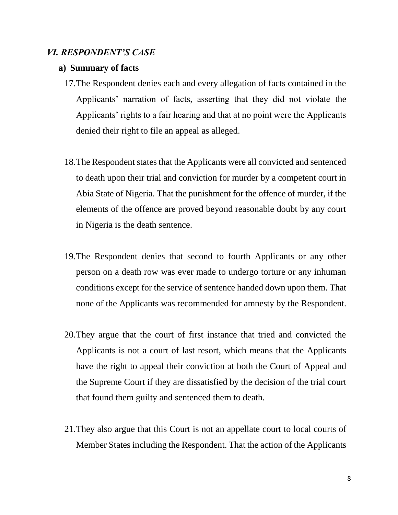#### *VI. RESPONDENT'S CASE*

#### **a) Summary of facts**

- 17.The Respondent denies each and every allegation of facts contained in the Applicants' narration of facts, asserting that they did not violate the Applicants' rights to a fair hearing and that at no point were the Applicants denied their right to file an appeal as alleged.
- 18.The Respondent states that the Applicants were all convicted and sentenced to death upon their trial and conviction for murder by a competent court in Abia State of Nigeria. That the punishment for the offence of murder, if the elements of the offence are proved beyond reasonable doubt by any court in Nigeria is the death sentence.
- 19.The Respondent denies that second to fourth Applicants or any other person on a death row was ever made to undergo torture or any inhuman conditions except for the service of sentence handed down upon them. That none of the Applicants was recommended for amnesty by the Respondent.
- 20.They argue that the court of first instance that tried and convicted the Applicants is not a court of last resort, which means that the Applicants have the right to appeal their conviction at both the Court of Appeal and the Supreme Court if they are dissatisfied by the decision of the trial court that found them guilty and sentenced them to death.
- 21.They also argue that this Court is not an appellate court to local courts of Member States including the Respondent. That the action of the Applicants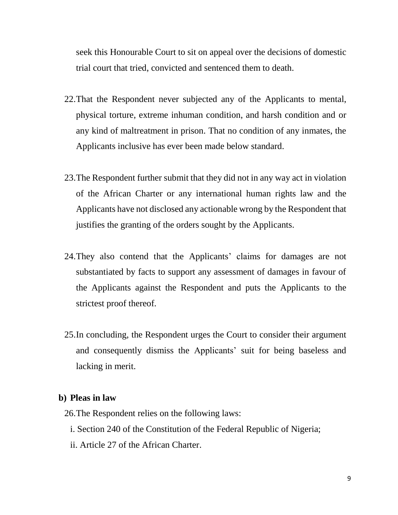seek this Honourable Court to sit on appeal over the decisions of domestic trial court that tried, convicted and sentenced them to death.

- 22.That the Respondent never subjected any of the Applicants to mental, physical torture, extreme inhuman condition, and harsh condition and or any kind of maltreatment in prison. That no condition of any inmates, the Applicants inclusive has ever been made below standard.
- 23.The Respondent further submit that they did not in any way act in violation of the African Charter or any international human rights law and the Applicants have not disclosed any actionable wrong by the Respondent that justifies the granting of the orders sought by the Applicants.
- 24.They also contend that the Applicants' claims for damages are not substantiated by facts to support any assessment of damages in favour of the Applicants against the Respondent and puts the Applicants to the strictest proof thereof.
- 25.In concluding, the Respondent urges the Court to consider their argument and consequently dismiss the Applicants' suit for being baseless and lacking in merit.

#### **b) Pleas in law**

26.The Respondent relies on the following laws:

- i. Section 240 of the Constitution of the Federal Republic of Nigeria;
- ii. Article 27 of the African Charter.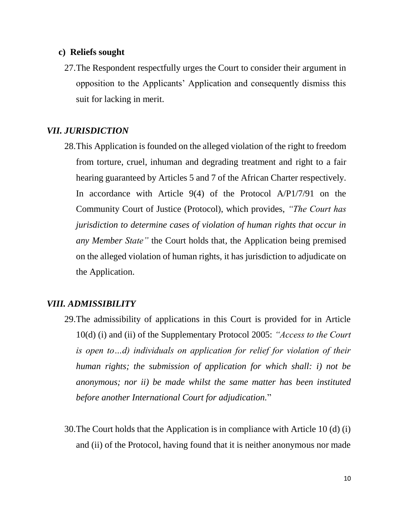#### **c) Reliefs sought**

27.The Respondent respectfully urges the Court to consider their argument in opposition to the Applicants' Application and consequently dismiss this suit for lacking in merit.

## *VII. JURISDICTION*

28.This Application is founded on the alleged violation of the right to freedom from torture, cruel, inhuman and degrading treatment and right to a fair hearing guaranteed by Articles 5 and 7 of the African Charter respectively. In accordance with Article 9(4) of the Protocol A/P1/7/91 on the Community Court of Justice (Protocol), which provides, *"The Court has jurisdiction to determine cases of violation of human rights that occur in any Member State"* the Court holds that, the Application being premised on the alleged violation of human rights, it has jurisdiction to adjudicate on the Application.

## *VIII. ADMISSIBILITY*

- 29.The admissibility of applications in this Court is provided for in Article 10(d) (i) and (ii) of the Supplementary Protocol 2005: *"Access to the Court is open to…d) individuals on application for relief for violation of their human rights; the submission of application for which shall: i) not be anonymous; nor ii) be made whilst the same matter has been instituted before another International Court for adjudication.*"
- 30.The Court holds that the Application is in compliance with Article 10 (d) (i) and (ii) of the Protocol, having found that it is neither anonymous nor made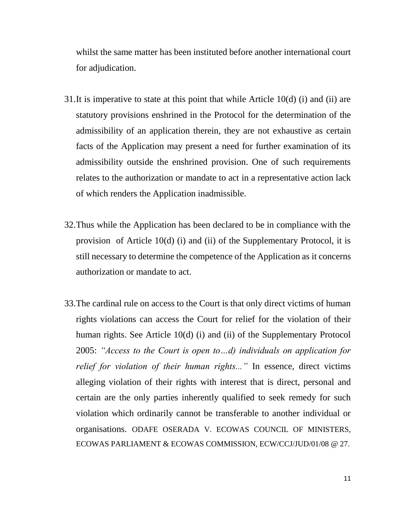whilst the same matter has been instituted before another international court for adjudication.

- 31.It is imperative to state at this point that while Article 10(d) (i) and (ii) are statutory provisions enshrined in the Protocol for the determination of the admissibility of an application therein, they are not exhaustive as certain facts of the Application may present a need for further examination of its admissibility outside the enshrined provision. One of such requirements relates to the authorization or mandate to act in a representative action lack of which renders the Application inadmissible.
- 32.Thus while the Application has been declared to be in compliance with the provision of Article 10(d) (i) and (ii) of the Supplementary Protocol, it is still necessary to determine the competence of the Application as it concerns authorization or mandate to act.
- 33.The cardinal rule on access to the Court is that only direct victims of human rights violations can access the Court for relief for the violation of their human rights. See Article 10(d) (i) and (ii) of the Supplementary Protocol 2005: *"Access to the Court is open to…d) individuals on application for relief for violation of their human rights..."* In essence, direct victims alleging violation of their rights with interest that is direct, personal and certain are the only parties inherently qualified to seek remedy for such violation which ordinarily cannot be transferable to another individual or organisations. ODAFE OSERADA V. ECOWAS COUNCIL OF MINISTERS, ECOWAS PARLIAMENT & ECOWAS COMMISSION, ECW/CCJ/JUD/01/08 @ 27.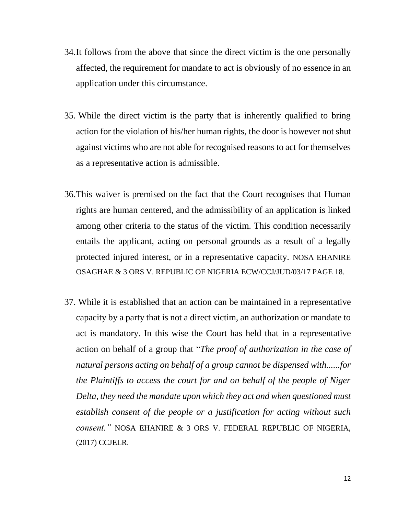- 34.It follows from the above that since the direct victim is the one personally affected, the requirement for mandate to act is obviously of no essence in an application under this circumstance.
- 35. While the direct victim is the party that is inherently qualified to bring action for the violation of his/her human rights, the door is however not shut against victims who are not able for recognised reasons to act for themselves as a representative action is admissible.
- 36.This waiver is premised on the fact that the Court recognises that Human rights are human centered, and the admissibility of an application is linked among other criteria to the status of the victim. This condition necessarily entails the applicant, acting on personal grounds as a result of a legally protected injured interest, or in a representative capacity. NOSA EHANIRE OSAGHAE & 3 ORS V. REPUBLIC OF NIGERIA ECW/CCJ/JUD/03/17 PAGE 18.
- 37. While it is established that an action can be maintained in a representative capacity by a party that is not a direct victim, an authorization or mandate to act is mandatory. In this wise the Court has held that in a representative action on behalf of a group that "*The proof of authorization in the case of natural persons acting on behalf of a group cannot be dispensed with......for the Plaintiffs to access the court for and on behalf of the people of Niger Delta, they need the mandate upon which they act and when questioned must establish consent of the people or a justification for acting without such consent."* NOSA EHANIRE & 3 ORS V. FEDERAL REPUBLIC OF NIGERIA, (2017) CCJELR.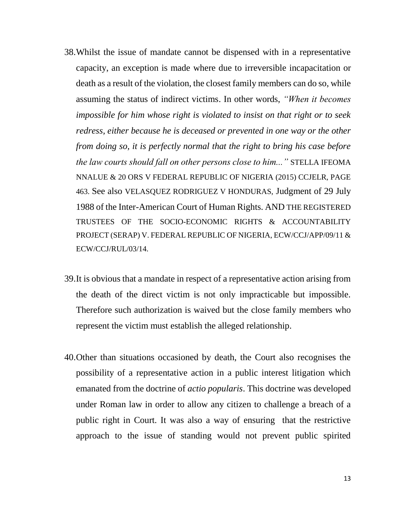- 38.Whilst the issue of mandate cannot be dispensed with in a representative capacity, an exception is made where due to irreversible incapacitation or death as a result of the violation, the closest family members can do so, while assuming the status of indirect victims. In other words, *"When it becomes impossible for him whose right is violated to insist on that right or to seek redress, either because he is deceased or prevented in one way or the other from doing so, it is perfectly normal that the right to bring his case before the law courts should fall on other persons close to him..."* STELLA IFEOMA NNALUE & 20 ORS V FEDERAL REPUBLIC OF NIGERIA (2015) CCJELR, PAGE 463. See also VELASQUEZ RODRIGUEZ V HONDURAS, Judgment of 29 July 1988 of the Inter-American Court of Human Rights. AND THE REGISTERED TRUSTEES OF THE SOCIO-ECONOMIC RIGHTS & ACCOUNTABILITY PROJECT (SERAP) V. FEDERAL REPUBLIC OF NIGERIA, ECW/CCJ/APP/09/11 & ECW/CCJ/RUL/03/14.
- 39.It is obvious that a mandate in respect of a representative action arising from the death of the direct victim is not only impracticable but impossible. Therefore such authorization is waived but the close family members who represent the victim must establish the alleged relationship.
- 40.Other than situations occasioned by death, the Court also recognises the possibility of a representative action in a public interest litigation which emanated from the doctrine of *actio popularis*. This doctrine was developed under Roman law in order to allow any citizen to challenge a breach of a public right in Court. It was also a way of ensuring that the restrictive approach to the issue of standing would not prevent public spirited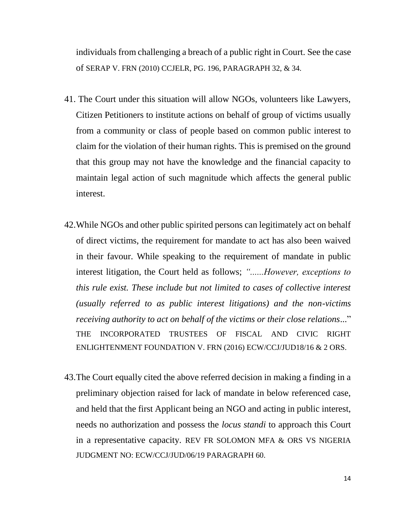individuals from challenging a breach of a public right in Court. See the case of SERAP V. FRN (2010) CCJELR, PG. 196, PARAGRAPH 32, & 34.

- 41. The Court under this situation will allow NGOs, volunteers like Lawyers, Citizen Petitioners to institute actions on behalf of group of victims usually from a community or class of people based on common public interest to claim for the violation of their human rights. This is premised on the ground that this group may not have the knowledge and the financial capacity to maintain legal action of such magnitude which affects the general public interest.
- 42.While NGOs and other public spirited persons can legitimately act on behalf of direct victims, the requirement for mandate to act has also been waived in their favour. While speaking to the requirement of mandate in public interest litigation, the Court held as follows; *"......However, exceptions to this rule exist. These include but not limited to cases of collective interest (usually referred to as public interest litigations) and the non-victims receiving authority to act on behalf of the victims or their close relations*..." THE INCORPORATED TRUSTEES OF FISCAL AND CIVIC RIGHT ENLIGHTENMENT FOUNDATION V. FRN (2016) ECW/CCJ/JUD18/16 & 2 ORS.
- 43.The Court equally cited the above referred decision in making a finding in a preliminary objection raised for lack of mandate in below referenced case, and held that the first Applicant being an NGO and acting in public interest, needs no authorization and possess the *locus standi* to approach this Court in a representative capacity. REV FR SOLOMON MFA & ORS VS NIGERIA JUDGMENT NO: ECW/CCJ/JUD/06/19 PARAGRAPH 60.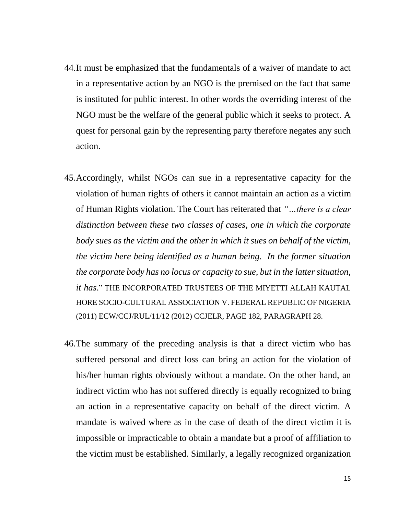- 44.It must be emphasized that the fundamentals of a waiver of mandate to act in a representative action by an NGO is the premised on the fact that same is instituted for public interest. In other words the overriding interest of the NGO must be the welfare of the general public which it seeks to protect. A quest for personal gain by the representing party therefore negates any such action.
- 45.Accordingly, whilst NGOs can sue in a representative capacity for the violation of human rights of others it cannot maintain an action as a victim of Human Rights violation. The Court has reiterated that *"…there is a clear distinction between these two classes of cases, one in which the corporate body sues as the victim and the other in which it sues on behalf of the victim, the victim here being identified as a human being. In the former situation the corporate body has no locus or capacity to sue, but in the latter situation, it has*." THE INCORPORATED TRUSTEES OF THE MIYETTI ALLAH KAUTAL HORE SOCIO-CULTURAL ASSOCIATION V. FEDERAL REPUBLIC OF NIGERIA (2011) ECW/CCJ/RUL/11/12 (2012) CCJELR, PAGE 182, PARAGRAPH 28.
- 46.The summary of the preceding analysis is that a direct victim who has suffered personal and direct loss can bring an action for the violation of his/her human rights obviously without a mandate. On the other hand, an indirect victim who has not suffered directly is equally recognized to bring an action in a representative capacity on behalf of the direct victim. A mandate is waived where as in the case of death of the direct victim it is impossible or impracticable to obtain a mandate but a proof of affiliation to the victim must be established. Similarly, a legally recognized organization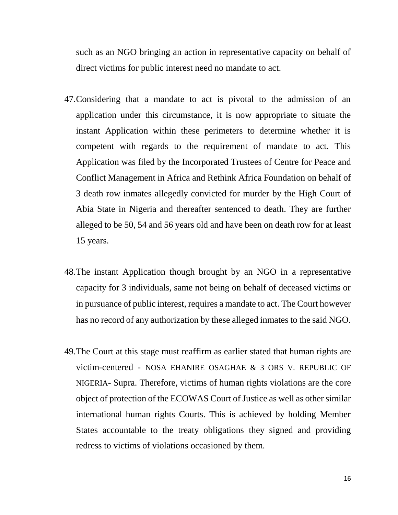such as an NGO bringing an action in representative capacity on behalf of direct victims for public interest need no mandate to act.

- 47.Considering that a mandate to act is pivotal to the admission of an application under this circumstance, it is now appropriate to situate the instant Application within these perimeters to determine whether it is competent with regards to the requirement of mandate to act. This Application was filed by the Incorporated Trustees of Centre for Peace and Conflict Management in Africa and Rethink Africa Foundation on behalf of 3 death row inmates allegedly convicted for murder by the High Court of Abia State in Nigeria and thereafter sentenced to death. They are further alleged to be 50, 54 and 56 years old and have been on death row for at least 15 years.
- 48.The instant Application though brought by an NGO in a representative capacity for 3 individuals, same not being on behalf of deceased victims or in pursuance of public interest, requires a mandate to act. The Court however has no record of any authorization by these alleged inmates to the said NGO.
- 49.The Court at this stage must reaffirm as earlier stated that human rights are victim-centered - NOSA EHANIRE OSAGHAE & 3 ORS V. REPUBLIC OF NIGERIA- Supra. Therefore, victims of human rights violations are the core object of protection of the ECOWAS Court of Justice as well as other similar international human rights Courts. This is achieved by holding Member States accountable to the treaty obligations they signed and providing redress to victims of violations occasioned by them.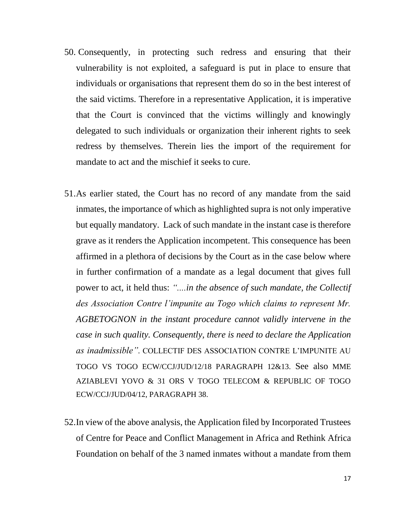- 50. Consequently, in protecting such redress and ensuring that their vulnerability is not exploited, a safeguard is put in place to ensure that individuals or organisations that represent them do so in the best interest of the said victims. Therefore in a representative Application, it is imperative that the Court is convinced that the victims willingly and knowingly delegated to such individuals or organization their inherent rights to seek redress by themselves. Therein lies the import of the requirement for mandate to act and the mischief it seeks to cure.
- 51.As earlier stated, the Court has no record of any mandate from the said inmates, the importance of which as highlighted supra is not only imperative but equally mandatory. Lack of such mandate in the instant case is therefore grave as it renders the Application incompetent. This consequence has been affirmed in a plethora of decisions by the Court as in the case below where in further confirmation of a mandate as a legal document that gives full power to act, it held thus: *"....in the absence of such mandate, the Collectif des Association Contre l'impunite au Togo which claims to represent Mr. AGBETOGNON in the instant procedure cannot validly intervene in the case in such quality. Consequently, there is need to declare the Application as inadmissible".* COLLECTIF DES ASSOCIATION CONTRE L'IMPUNITE AU TOGO VS TOGO ECW/CCJ/JUD/12/18 PARAGRAPH 12&13. See also MME AZIABLEVI YOVO & 31 ORS V TOGO TELECOM & REPUBLIC OF TOGO ECW/CCJ/JUD/04/12, PARAGRAPH 38.
- 52.In view of the above analysis, the Application filed by Incorporated Trustees of Centre for Peace and Conflict Management in Africa and Rethink Africa Foundation on behalf of the 3 named inmates without a mandate from them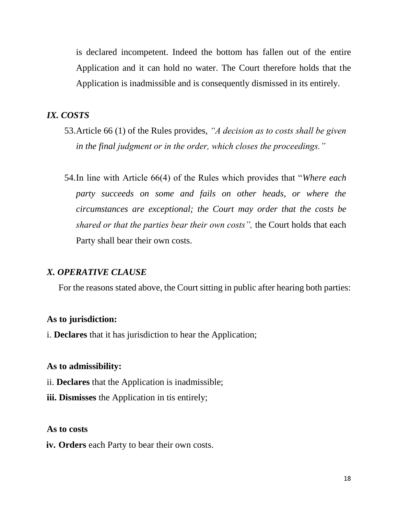is declared incompetent. Indeed the bottom has fallen out of the entire Application and it can hold no water. The Court therefore holds that the Application is inadmissible and is consequently dismissed in its entirely.

# *IX. COSTS*

- 53.Article 66 (1) of the Rules provides, *"A decision as to costs shall be given in the final judgment or in the order, which closes the proceedings."*
- 54.In line with Article 66(4) of the Rules which provides that "*Where each party succeeds on some and fails on other heads, or where the circumstances are exceptional; the Court may order that the costs be shared or that the parties bear their own costs",* the Court holds that each Party shall bear their own costs.

#### *X. OPERATIVE CLAUSE*

For the reasons stated above, the Court sitting in public after hearing both parties:

#### **As to jurisdiction:**

i. **Declares** that it has jurisdiction to hear the Application;

#### **As to admissibility:**

- ii. **Declares** that the Application is inadmissible;
- **iii. Dismisses** the Application in tis entirely;

#### **As to costs**

**iv. Orders** each Party to bear their own costs.